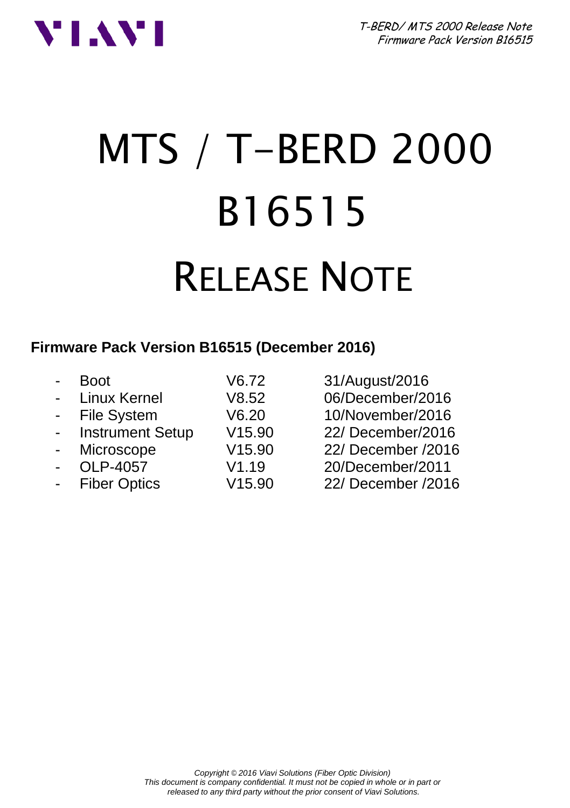T-BERD/ MTS 2000 Release Note Firmware Pack Version B16515



# MTS / T-BERD 2000 B16515 RELEASE NOTE

### **Firmware Pack Version B16515 (December 2016)**

|                          | <b>Boot</b>             | V6.72  | 31/August/2016     |
|--------------------------|-------------------------|--------|--------------------|
| $\overline{a}$           | <b>Linux Kernel</b>     | V8.52  | 06/December/2016   |
|                          | - File System           | V6.20  | 10/November/2016   |
| $\blacksquare$           | <b>Instrument Setup</b> | V15.90 | 22/ December/2016  |
| $\sim$                   | Microscope              | V15.90 | 22/ December /2016 |
| $\overline{a}$           | OLP-4057                | V1.19  | 20/December/2011   |
| $\overline{\phantom{a}}$ | <b>Fiber Optics</b>     | V15.90 | 22/ December /2016 |
|                          |                         |        |                    |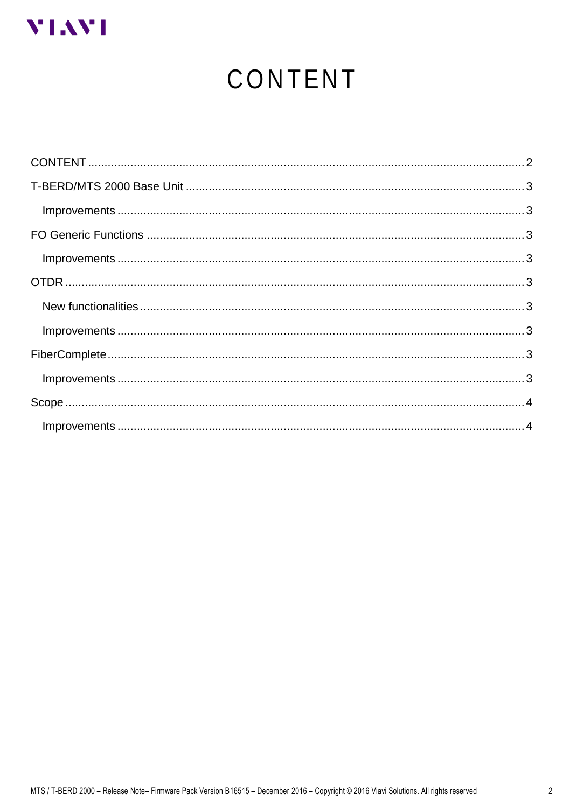<span id="page-1-0"></span>

# CONTENT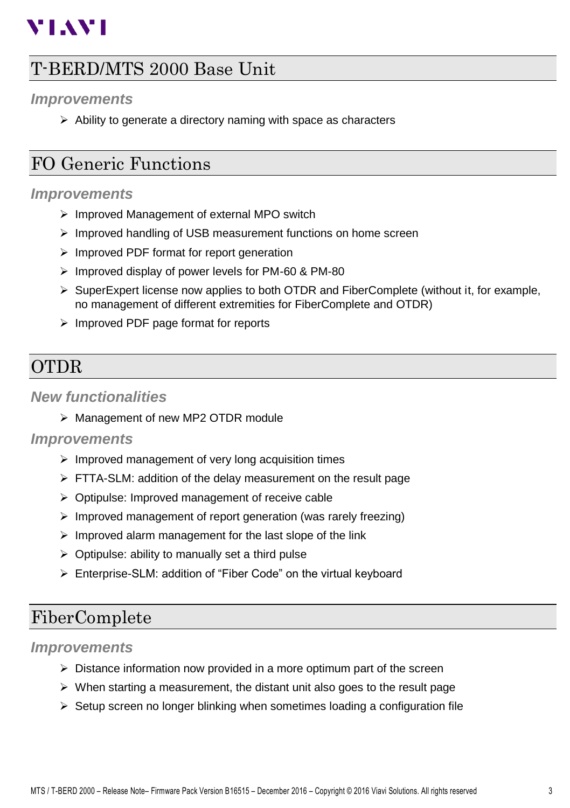# **YLAYI**

# <span id="page-2-0"></span>T-BERD/MTS 2000 Base Unit

#### <span id="page-2-1"></span>*Improvements*

 $\triangleright$  Ability to generate a directory naming with space as characters

## <span id="page-2-2"></span>FO Generic Functions

#### <span id="page-2-3"></span>*Improvements*

- $\triangleright$  Improved Management of external MPO switch
- $\triangleright$  Improved handling of USB measurement functions on home screen
- $\triangleright$  Improved PDF format for report generation
- $\triangleright$  Improved display of power levels for PM-60 & PM-80
- $\triangleright$  SuperExpert license now applies to both OTDR and FiberComplete (without it, for example, no management of different extremities for FiberComplete and OTDR)
- $\triangleright$  Improved PDF page format for reports

## <span id="page-2-4"></span>**OTDR**

#### <span id="page-2-5"></span>*New functionalities*

 $\triangleright$  Management of new MP2 OTDR module

#### <span id="page-2-6"></span>*Improvements*

- $\triangleright$  Improved management of very long acquisition times
- $\triangleright$  FTTA-SLM: addition of the delay measurement on the result page
- $\triangleright$  Optipulse: Improved management of receive cable
- $\triangleright$  Improved management of report generation (was rarely freezing)
- $\triangleright$  Improved alarm management for the last slope of the link
- $\triangleright$  Optipulse: ability to manually set a third pulse
- Enterprise-SLM: addition of "Fiber Code" on the virtual keyboard

## <span id="page-2-7"></span>FiberComplete

#### <span id="page-2-8"></span>*Improvements*

- $\triangleright$  Distance information now provided in a more optimum part of the screen
- $\triangleright$  When starting a measurement, the distant unit also goes to the result page
- $\triangleright$  Setup screen no longer blinking when sometimes loading a configuration file